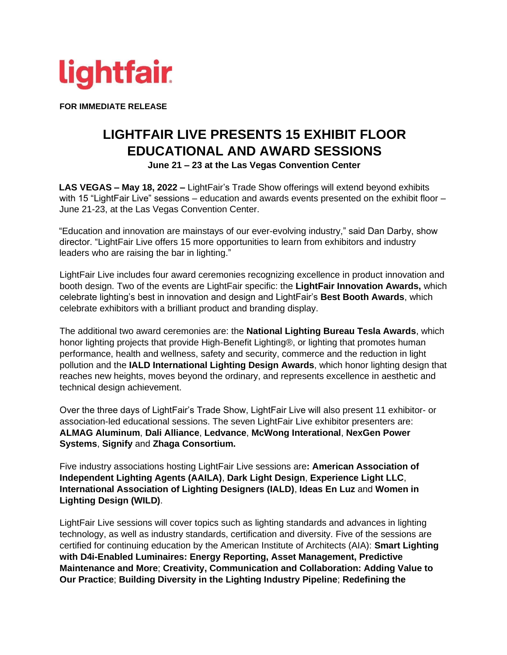

**FOR IMMEDIATE RELEASE** 

## **LIGHTFAIR LIVE PRESENTS 15 EXHIBIT FLOOR EDUCATIONAL AND AWARD SESSIONS June 21 – 23 at the Las Vegas Convention Center**

**LAS VEGAS – May 18, 2022 –** LightFair's Trade Show offerings will extend beyond exhibits with 15 "LightFair Live" sessions – education and awards events presented on the exhibit floor – June 21-23, at the Las Vegas Convention Center.

"Education and innovation are mainstays of our ever-evolving industry," said Dan Darby, show director. "LightFair Live offers 15 more opportunities to learn from exhibitors and industry leaders who are raising the bar in lighting."

LightFair Live includes four award ceremonies recognizing excellence in product innovation and booth design. Two of the events are LightFair specific: the **LightFair Innovation Awards,** which celebrate lighting's best in innovation and design and LightFair's **Best Booth Awards**, which celebrate exhibitors with a brilliant product and branding display.

The additional two award ceremonies are: the **National Lighting Bureau Tesla Awards**, which honor lighting projects that provide High-Benefit Lighting®, or lighting that promotes human performance, health and wellness, safety and security, commerce and the reduction in light pollution and the **IALD International Lighting Design Awards**, which honor lighting design that reaches new heights, moves beyond the ordinary, and represents excellence in aesthetic and technical design achievement.

Over the three days of LightFair's Trade Show, LightFair Live will also present 11 exhibitor- or association-led educational sessions. The seven LightFair Live exhibitor presenters are: **ALMAG Aluminum**, **Dali Alliance**, **Ledvance**, **McWong Interational**, **NexGen Power Systems**, **Signify** and **Zhaga Consortium.**

Five industry associations hosting LightFair Live sessions are**: American Association of Independent Lighting Agents (AAILA)**, **Dark Light Design**, **Experience Light LLC**, **International Association of Lighting Designers (IALD)**, **Ideas En Luz** and **Women in Lighting Design (WILD)**.

LightFair Live sessions will cover topics such as lighting standards and advances in lighting technology, as well as industry standards, certification and diversity. Five of the sessions are certified for continuing education by the American Institute of Architects (AIA): **Smart Lighting with D4i-Enabled Luminaires: Energy Reporting, Asset Management, Predictive Maintenance and More**; **Creativity, Communication and Collaboration: Adding Value to Our Practice**; **Building Diversity in the Lighting Industry Pipeline**; **Redefining the**